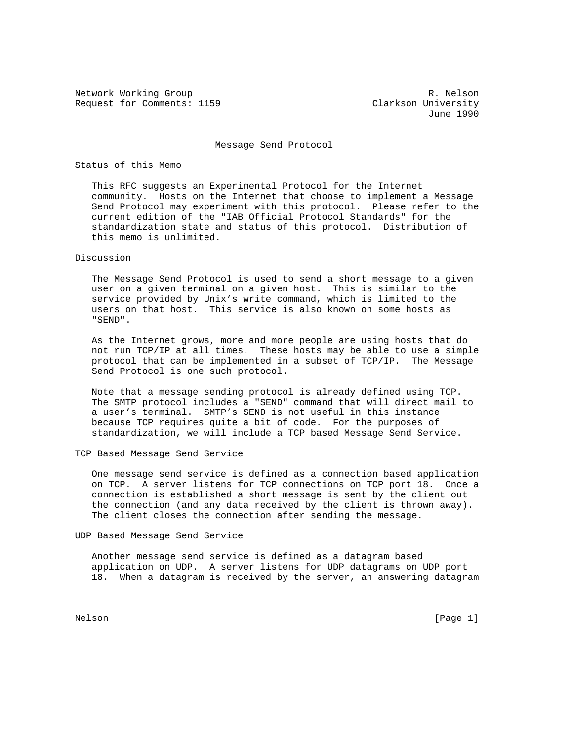Network Working Group and the set of the set of the R. Nelson Request for Comments: 1159 Clarkson University

June 1990

Message Send Protocol

Status of this Memo

 This RFC suggests an Experimental Protocol for the Internet community. Hosts on the Internet that choose to implement a Message Send Protocol may experiment with this protocol. Please refer to the current edition of the "IAB Official Protocol Standards" for the standardization state and status of this protocol. Distribution of this memo is unlimited.

Discussion

 The Message Send Protocol is used to send a short message to a given user on a given terminal on a given host. This is similar to the service provided by Unix's write command, which is limited to the users on that host. This service is also known on some hosts as "SEND".

 As the Internet grows, more and more people are using hosts that do not run TCP/IP at all times. These hosts may be able to use a simple protocol that can be implemented in a subset of TCP/IP. The Message Send Protocol is one such protocol.

 Note that a message sending protocol is already defined using TCP. The SMTP protocol includes a "SEND" command that will direct mail to a user's terminal. SMTP's SEND is not useful in this instance because TCP requires quite a bit of code. For the purposes of standardization, we will include a TCP based Message Send Service.

TCP Based Message Send Service

 One message send service is defined as a connection based application on TCP. A server listens for TCP connections on TCP port 18. Once a connection is established a short message is sent by the client out the connection (and any data received by the client is thrown away). The client closes the connection after sending the message.

UDP Based Message Send Service

 Another message send service is defined as a datagram based application on UDP. A server listens for UDP datagrams on UDP port 18. When a datagram is received by the server, an answering datagram

Nelson [Page 1]